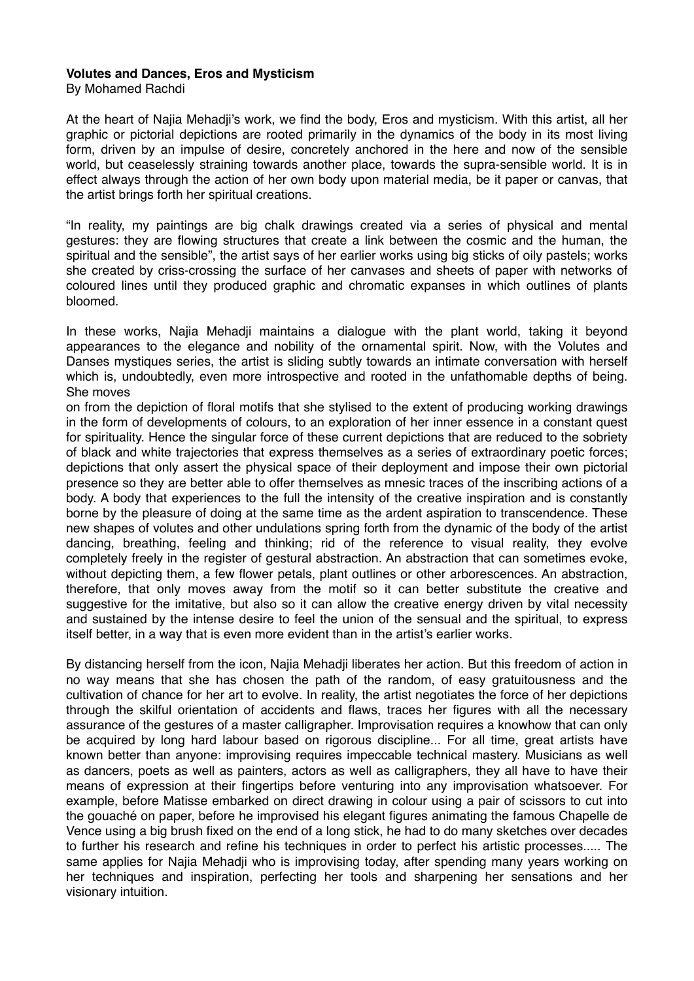## **Volutes and Dances, Eros and Mysticism**

By Mohamed Rachdi

At the heart of Najia Mehadji's work, we find the body, Eros and mysticism. With this artist, all her graphic or pictorial depictions are rooted primarily in the dynamics of the body in its most living form, driven by an impulse of desire, concretely anchored in the here and now of the sensible world, but ceaselessly straining towards another place, towards the supra-sensible world. It is in effect always through the action of her own body upon material media, be it paper or canvas, that the artist brings forth her spiritual creations.

"In reality, my paintings are big chalk drawings created via a series of physical and mental gestures: they are flowing structures that create a link between the cosmic and the human, the spiritual and the sensible", the artist says of her earlier works using big sticks of oily pastels; works she created by criss-crossing the surface of her canvases and sheets of paper with networks of coloured lines until they produced graphic and chromatic expanses in which outlines of plants bloomed.

In these works, Najia Mehadji maintains a dialogue with the plant world, taking it beyond appearances to the elegance and nobility of the ornamental spirit. Now, with the Volutes and Danses mystiques series, the artist is sliding subtly towards an intimate conversation with herself which is, undoubtedly, even more introspective and rooted in the unfathomable depths of being. She moves

on from the depiction of floral motifs that she stylised to the extent of producing working drawings in the form of developments of colours, to an exploration of her inner essence in a constant quest for spirituality. Hence the singular force of these current depictions that are reduced to the sobriety of black and white trajectories that express themselves as a series of extraordinary poetic forces; depictions that only assert the physical space of their deployment and impose their own pictorial presence so they are better able to offer themselves as mnesic traces of the inscribing actions of a body. A body that experiences to the full the intensity of the creative inspiration and is constantly borne by the pleasure of doing at the same time as the ardent aspiration to transcendence. These new shapes of volutes and other undulations spring forth from the dynamic of the body of the artist dancing, breathing, feeling and thinking; rid of the reference to visual reality, they evolve completely freely in the register of gestural abstraction. An abstraction that can sometimes evoke, without depicting them, a few flower petals, plant outlines or other arborescences. An abstraction, therefore, that only moves away from the motif so it can better substitute the creative and suggestive for the imitative, but also so it can allow the creative energy driven by vital necessity and sustained by the intense desire to feel the union of the sensual and the spiritual, to express itself better, in a way that is even more evident than in the artist's earlier works.

By distancing herself from the icon, Najia Mehadji liberates her action. But this freedom of action in no way means that she has chosen the path of the random, of easy gratuitousness and the cultivation of chance for her art to evolve. In reality, the artist negotiates the force of her depictions through the skilful orientation of accidents and flaws, traces her figures with all the necessary assurance of the gestures of a master calligrapher. Improvisation requires a knowhow that can only be acquired by long hard labour based on rigorous discipline... For all time, great artists have known better than anyone: improvising requires impeccable technical mastery. Musicians as well as dancers, poets as well as painters, actors as well as calligraphers, they all have to have their means of expression at their fingertips before venturing into any improvisation whatsoever. For example, before Matisse embarked on direct drawing in colour using a pair of scissors to cut into the gouaché on paper, before he improvised his elegant figures animating the famous Chapelle de Vence using a big brush fixed on the end of a long stick, he had to do many sketches over decades to further his research and refine his techniques in order to perfect his artistic processes..... The same applies for Najia Mehadji who is improvising today, after spending many years working on her techniques and inspiration, perfecting her tools and sharpening her sensations and her visionary intuition.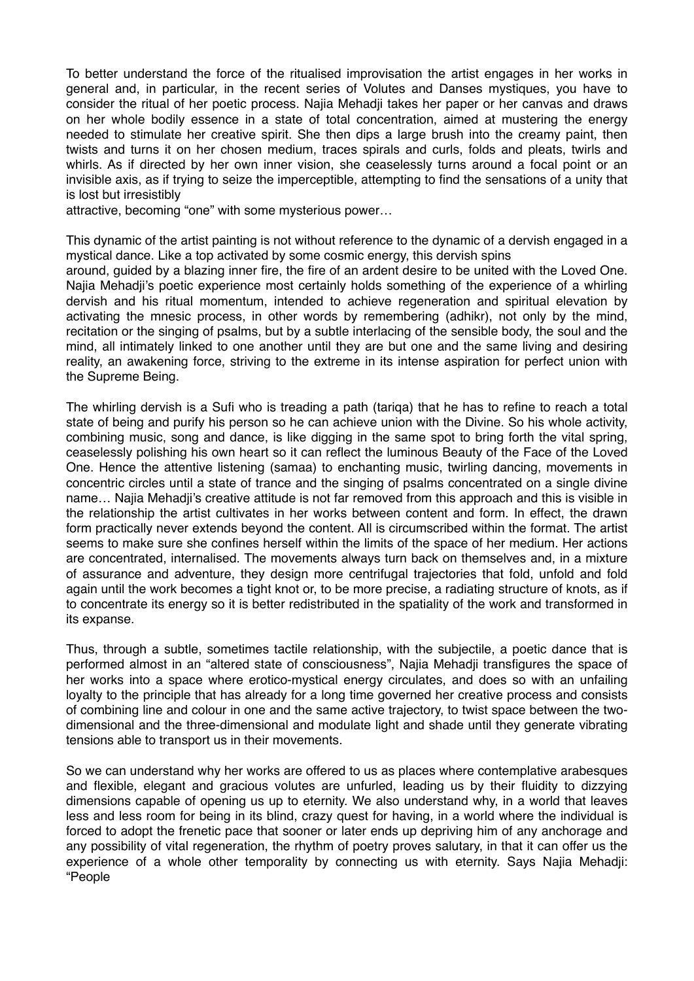To better understand the force of the ritualised improvisation the artist engages in her works in general and, in particular, in the recent series of Volutes and Danses mystiques, you have to consider the ritual of her poetic process. Najia Mehadji takes her paper or her canvas and draws on her whole bodily essence in a state of total concentration, aimed at mustering the energy needed to stimulate her creative spirit. She then dips a large brush into the creamy paint, then twists and turns it on her chosen medium, traces spirals and curls, folds and pleats, twirls and whirls. As if directed by her own inner vision, she ceaselessly turns around a focal point or an invisible axis, as if trying to seize the imperceptible, attempting to find the sensations of a unity that is lost but irresistibly

attractive, becoming "one" with some mysterious power…

This dynamic of the artist painting is not without reference to the dynamic of a dervish engaged in a mystical dance. Like a top activated by some cosmic energy, this dervish spins

around, guided by a blazing inner fire, the fire of an ardent desire to be united with the Loved One. Najia Mehadji's poetic experience most certainly holds something of the experience of a whirling dervish and his ritual momentum, intended to achieve regeneration and spiritual elevation by activating the mnesic process, in other words by remembering (adhikr), not only by the mind, recitation or the singing of psalms, but by a subtle interlacing of the sensible body, the soul and the mind, all intimately linked to one another until they are but one and the same living and desiring reality, an awakening force, striving to the extreme in its intense aspiration for perfect union with the Supreme Being.

The whirling dervish is a Sufi who is treading a path (tariqa) that he has to refine to reach a total state of being and purify his person so he can achieve union with the Divine. So his whole activity, combining music, song and dance, is like digging in the same spot to bring forth the vital spring, ceaselessly polishing his own heart so it can reflect the luminous Beauty of the Face of the Loved One. Hence the attentive listening (samaa) to enchanting music, twirling dancing, movements in concentric circles until a state of trance and the singing of psalms concentrated on a single divine name… Najia Mehadji's creative attitude is not far removed from this approach and this is visible in the relationship the artist cultivates in her works between content and form. In effect, the drawn form practically never extends beyond the content. All is circumscribed within the format. The artist seems to make sure she confines herself within the limits of the space of her medium. Her actions are concentrated, internalised. The movements always turn back on themselves and, in a mixture of assurance and adventure, they design more centrifugal trajectories that fold, unfold and fold again until the work becomes a tight knot or, to be more precise, a radiating structure of knots, as if to concentrate its energy so it is better redistributed in the spatiality of the work and transformed in its expanse.

Thus, through a subtle, sometimes tactile relationship, with the subjectile, a poetic dance that is performed almost in an "altered state of consciousness", Najia Mehadji transfigures the space of her works into a space where erotico-mystical energy circulates, and does so with an unfailing loyalty to the principle that has already for a long time governed her creative process and consists of combining line and colour in one and the same active trajectory, to twist space between the twodimensional and the three-dimensional and modulate light and shade until they generate vibrating tensions able to transport us in their movements.

So we can understand why her works are offered to us as places where contemplative arabesques and flexible, elegant and gracious volutes are unfurled, leading us by their fluidity to dizzying dimensions capable of opening us up to eternity. We also understand why, in a world that leaves less and less room for being in its blind, crazy quest for having, in a world where the individual is forced to adopt the frenetic pace that sooner or later ends up depriving him of any anchorage and any possibility of vital regeneration, the rhythm of poetry proves salutary, in that it can offer us the experience of a whole other temporality by connecting us with eternity. Says Najia Mehadji: "People